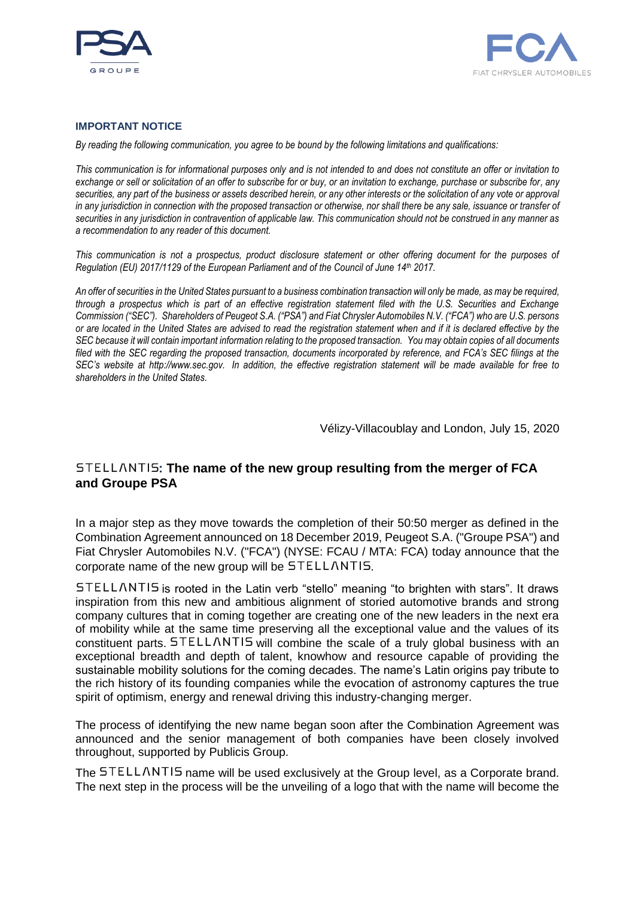



### **IMPORTANT NOTICE**

*By reading the following communication, you agree to be bound by the following limitations and qualifications:*

*This communication is for informational purposes only and is not intended to and does not constitute an offer or invitation to exchange or sell or solicitation of an offer to subscribe for or buy, or an invitation to exchange, purchase or subscribe for, any securities, any part of the business or assets described herein, or any other interests or the solicitation of any vote or approval in any jurisdiction in connection with the proposed transaction or otherwise, nor shall there be any sale, issuance or transfer of securities in any jurisdiction in contravention of applicable law. This communication should not be construed in any manner as a recommendation to any reader of this document.*

*This communication is not a prospectus, product disclosure statement or other offering document for the purposes of Regulation (EU) 2017/1129 of the European Parliament and of the Council of June 14th 2017.*

*An offer of securities in the United States pursuant to a business combination transaction will only be made, as may be required, through a prospectus which is part of an effective registration statement filed with the U.S. Securities and Exchange Commission ("SEC"). Shareholders of Peugeot S.A. ("PSA") and Fiat Chrysler Automobiles N.V. ("FCA") who are U.S. persons or are located in the United States are advised to read the registration statement when and if it is declared effective by the SEC because it will contain important information relating to the proposed transaction. You may obtain copies of all documents filed with the SEC regarding the proposed transaction, documents incorporated by reference, and FCA's SEC filings at the SEC's website at http://www.sec.gov. In addition, the effective registration statement will be made available for free to shareholders in the United States.*

Vélizy-Villacoublay and London, July 15, 2020

# **STELLANTIS: The name of the new group resulting from the merger of FCA and Groupe PSA**

In a major step as they move towards the completion of their 50:50 merger as defined in the Combination Agreement announced on 18 December 2019, Peugeot S.A. ("Groupe PSA") and Fiat Chrysler Automobiles N.V. ("FCA") (NYSE: FCAU / MTA: FCA) today announce that the corporate name of the new group will be  $STELLANTIS$ .

STELLANTIS is rooted in the Latin verb "stello" meaning "to brighten with stars". It draws inspiration from this new and ambitious alignment of storied automotive brands and strong company cultures that in coming together are creating one of the new leaders in the next era of mobility while at the same time preserving all the exceptional value and the values of its constituent parts.  $STELLANTIS$  will combine the scale of a truly global business with an exceptional breadth and depth of talent, knowhow and resource capable of providing the sustainable mobility solutions for the coming decades. The name's Latin origins pay tribute to the rich history of its founding companies while the evocation of astronomy captures the true spirit of optimism, energy and renewal driving this industry-changing merger.

The process of identifying the new name began soon after the Combination Agreement was announced and the senior management of both companies have been closely involved throughout, supported by Publicis Group.

The STELLANTIS name will be used exclusively at the Group level, as a Corporate brand. The next step in the process will be the unveiling of a logo that with the name will become the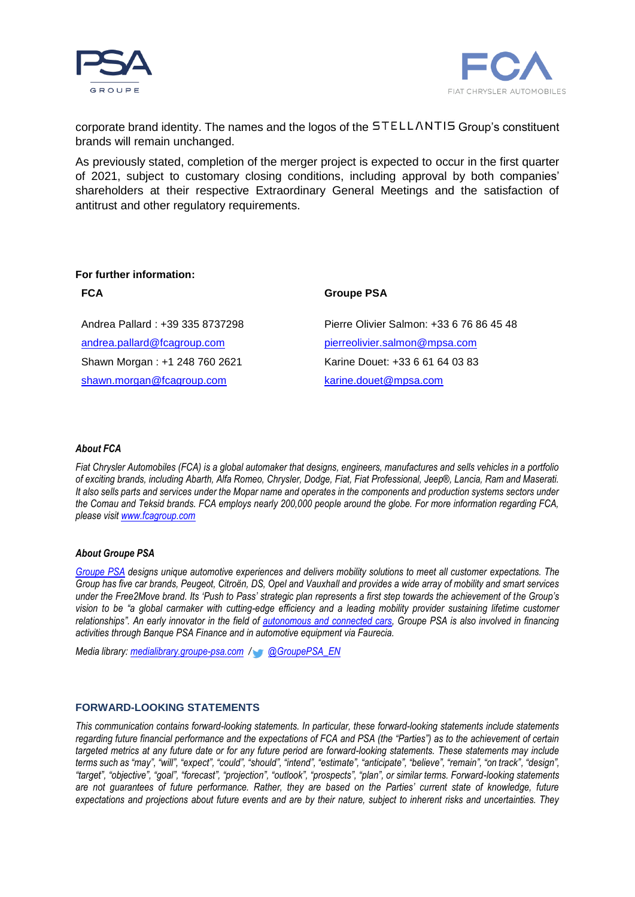



corporate brand identity. The names and the logos of the  $5TELLANTIS$  Group's constituent brands will remain unchanged.

As previously stated, completion of the merger project is expected to occur in the first quarter of 2021, subject to customary closing conditions, including approval by both companies' shareholders at their respective Extraordinary General Meetings and the satisfaction of antitrust and other regulatory requirements.

### **For further information:**

| <b>FCA</b>                      | <b>Groupe PSA</b>                        |
|---------------------------------|------------------------------------------|
| Andrea Pallard: +39 335 8737298 | Pierre Olivier Salmon: +33 6 76 86 45 48 |
| andrea.pallard@fcagroup.com     | pierreolivier.salmon@mpsa.com            |
| Shawn Morgan: +1 248 760 2621   | Karine Douet: +33 6 61 64 03 83          |
| shawn.morgan@fcagroup.com       | karine.douet@mpsa.com                    |

### *About FCA*

*Fiat Chrysler Automobiles (FCA) is a global automaker that designs, engineers, manufactures and sells vehicles in a portfolio of exciting brands, including Abarth, Alfa Romeo, Chrysler, Dodge, Fiat, Fiat Professional, Jeep®, Lancia, Ram and Maserati. It also sells parts and services under the Mopar name and operates in the components and production systems sectors under the Comau and Teksid brands. FCA employs nearly 200,000 people around the globe. For more information regarding FCA, please visi[t www.fcagroup.com](https://www.fcagroup.com/en-US/Pages/home.aspx)*

### *About Groupe PSA*

*[Groupe PSA](https://www.groupe-psa.com/fr)* designs unique automotive experiences and delivers mobility solutions to meet all customer expectations. The *Group has five car brands, Peugeot, Citroën, DS, Opel and Vauxhall and provides a wide array of mobility and smart services under the Free2Move brand. Its 'Push to Pass' strategic plan represents a first step towards the achievement of the Group's vision to be "a global carmaker with cutting-edge efficiency and a leading mobility provider sustaining lifetime customer*  relationships". An early innovator in the field of *autonomous and connected cars*, Groupe PSA is also involved in financing *activities through Banque PSA Finance and in automotive equipment via Faurecia.*

*Media library: [medialibrary.groupe-psa.com](http://medialibrary.groupe-psa.com/) / [@GroupePSA\\_EN](https://twitter.com/GroupePSA_EN)*

## **FORWARD-LOOKING STATEMENTS**

*This communication contains forward-looking statements. In particular, these forward-looking statements include statements regarding future financial performance and the expectations of FCA and PSA (the "Parties") as to the achievement of certain targeted metrics at any future date or for any future period are forward-looking statements. These statements may include terms such as "may", "will", "expect", "could", "should", "intend", "estimate", "anticipate", "believe", "remain", "on track", "design", "target", "objective", "goal", "forecast", "projection", "outlook", "prospects", "plan", or similar terms. Forward-looking statements are not guarantees of future performance. Rather, they are based on the Parties' current state of knowledge, future expectations and projections about future events and are by their nature, subject to inherent risks and uncertainties. They*